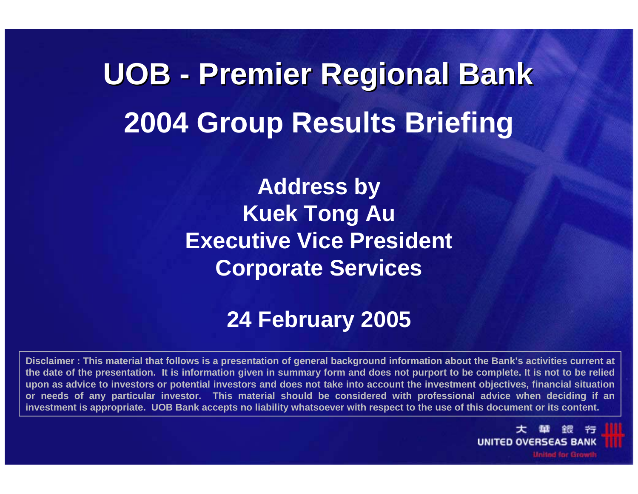# **UOB - Premier Regional Bank Premier Regional Bank 2004 Group Results Briefing**

**Address by Kuek Tong Au Executive Vice President Corporate Services**

### **24 February 2005**

**Disclaimer : This material that follows is a presentation of general background information about the Bank's activities current at the date of the presentation. It is information given in summary form and does not purport to be complete. It is not to be relied upon as advice to investors or potential investors and does not take into account the investment objectives, financial situation or needs of any particular investor. This material should be considered with professional advice when deciding if an investment is appropriate. UOB Bank accepts no liability whatsoever with respect to the use of this document or its content.**

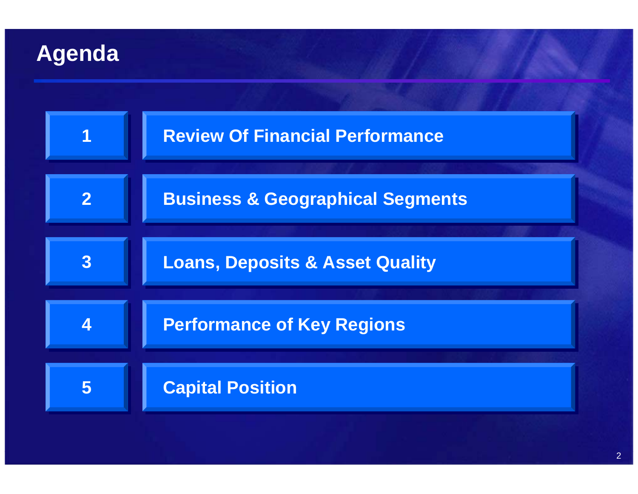# **Agenda**

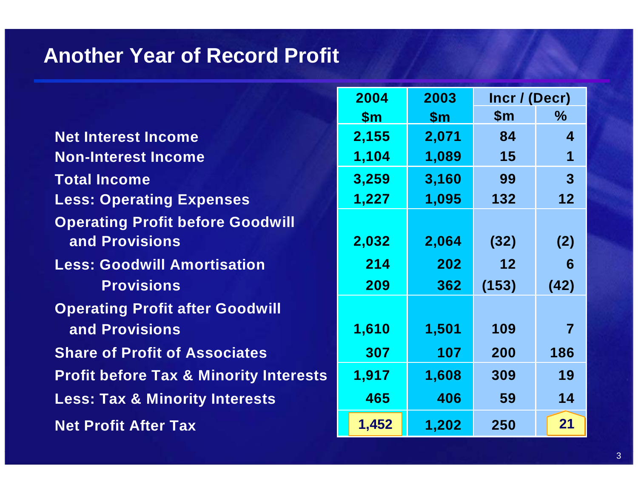### **Another Year of Record Profit**

|                                                   | 2004          | 2003          | Incr / (Decr) |                  |  |
|---------------------------------------------------|---------------|---------------|---------------|------------------|--|
|                                                   | $\mathsf{Sm}$ | $\mathsf{Sm}$ | $\mathsf{Sm}$ | $\frac{0}{0}$    |  |
| <b>Net Interest Income</b>                        | 2,155         | 2,071         | 84            | $\boldsymbol{4}$ |  |
| <b>Non-Interest Income</b>                        | 1,104         | 1,089         | 15            | 1                |  |
| <b>Total Income</b>                               | 3,259         | 3,160         | 99            | $\overline{3}$   |  |
| <b>Less: Operating Expenses</b>                   | 1,227         | 1,095         | 132           | 12               |  |
| <b>Operating Profit before Goodwill</b>           |               |               |               |                  |  |
| and Provisions                                    | 2,032         | 2,064         | (32)          | (2)              |  |
| <b>Less: Goodwill Amortisation</b>                | 214           | 202           | 12            | 6                |  |
| <b>Provisions</b>                                 | 209           | 362           | (153)         | (42)             |  |
| <b>Operating Profit after Goodwill</b>            |               |               |               |                  |  |
| and Provisions                                    | 1,610         | 1,501         | 109           | $\overline{7}$   |  |
| <b>Share of Profit of Associates</b>              | 307           | 107           | 200           | 186              |  |
| <b>Profit before Tax &amp; Minority Interests</b> | 1,917         | 1,608         | 309           | 19               |  |
| <b>Less: Tax &amp; Minority Interests</b>         | 465           | 406           | 59            | 14               |  |
| <b>Net Profit After Tax</b>                       | 1,452         | 1,202         | 250           | 21               |  |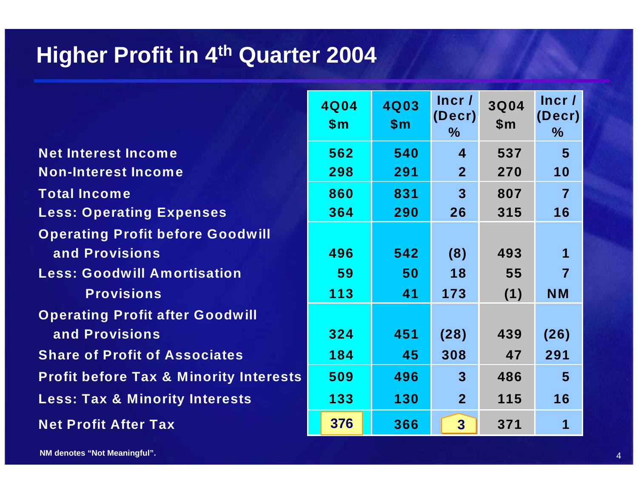### **Higher Profit in 4th Quarter 2004**

|                                                   | 4Q04<br>\$m\$ | 4Q03<br>\$m\$ | Incr/<br>(Decr)<br>$\%$ | <b>3Q04</b><br>\$m\$ | Incr/<br>(Decr)<br>$\%$ |
|---------------------------------------------------|---------------|---------------|-------------------------|----------------------|-------------------------|
| <b>Net Interest Income</b>                        | 562           | 540           | $\overline{\mathbf{4}}$ | 537                  | $5\phantom{1}$          |
| <b>Non-Interest Income</b>                        | 298           | 291           | $\overline{2}$          | 270                  | 10                      |
| <b>Total Income</b>                               | 860           | 831           | 3 <sup>1</sup>          | 807                  | $\overline{7}$          |
| <b>Less: Operating Expenses</b>                   | 364           | 290           | 26                      | 315                  | 16                      |
| <b>Operating Profit before Goodwill</b>           |               |               |                         |                      |                         |
| and Provisions                                    | 496           | 542           | (8)                     | 493                  | 1                       |
| <b>Less: Goodwill Amortisation</b>                | 59            | 50            | 18                      | 55                   | $\overline{7}$          |
| <b>Provisions</b>                                 | 113           | 41            | 173                     | (1)                  | <b>NM</b>               |
| <b>Operating Profit after Goodwill</b>            |               |               |                         |                      |                         |
| and Provisions                                    | 324           | 451           | (28)                    | 439                  | (26)                    |
| <b>Share of Profit of Associates</b>              | 184           | 45            | 308                     | 47                   | 291                     |
| <b>Profit before Tax &amp; Minority Interests</b> | 509           | 496           | $\overline{3}$          | 486                  | $5\phantom{1}$          |
| <b>Less: Tax &amp; Minority Interests</b>         | 133           | 130           | 2 <sup>1</sup>          | 115                  | 16                      |
| <b>Net Profit After Tax</b>                       | 376           | 366           | 3 <sup>1</sup>          | 371                  | 1                       |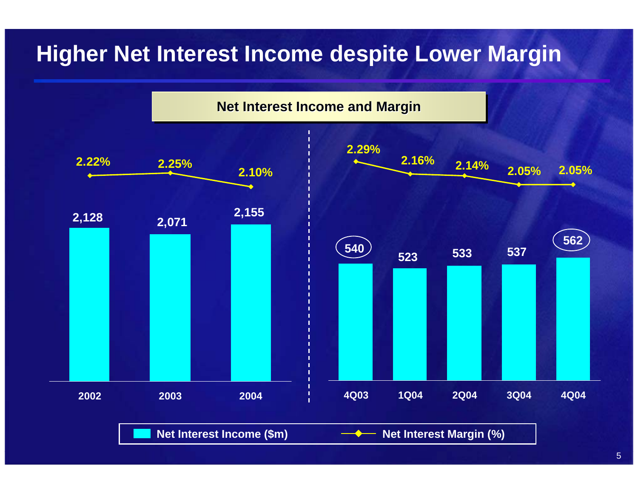# **Higher Net Interest Income despite Lower Margin**

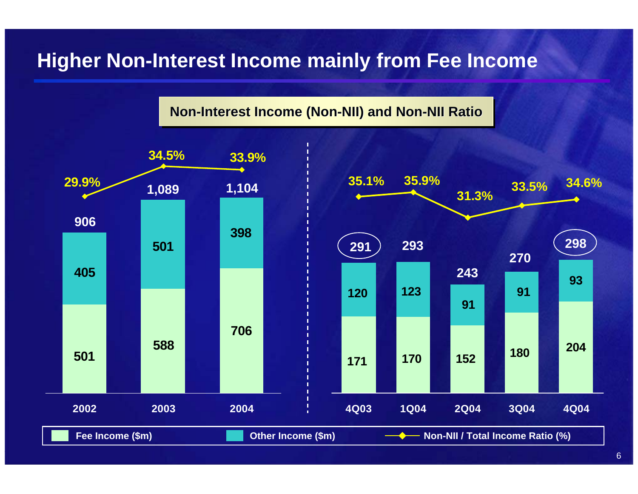### **Higher Non-Interest Income mainly from Fee Income**

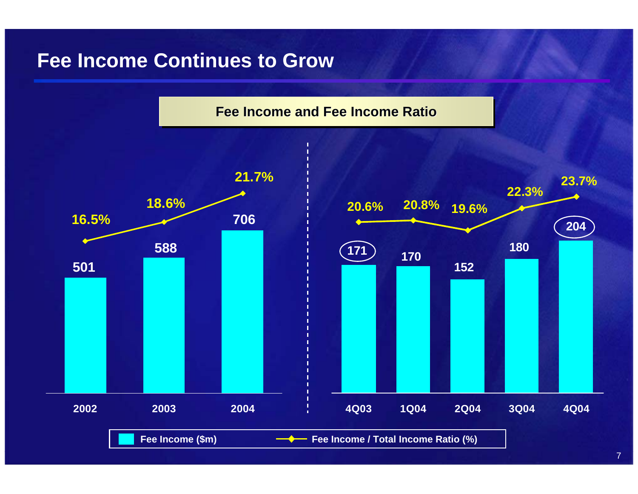### **Fee Income Continues to Grow**



7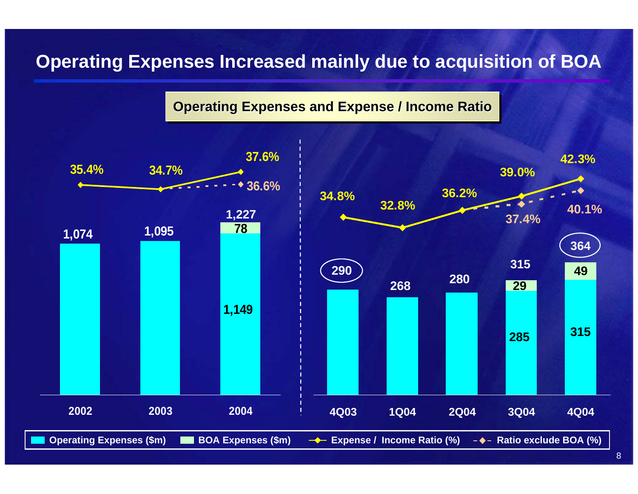### **Operating Expenses Increased mainly due to acquisition of BOA**

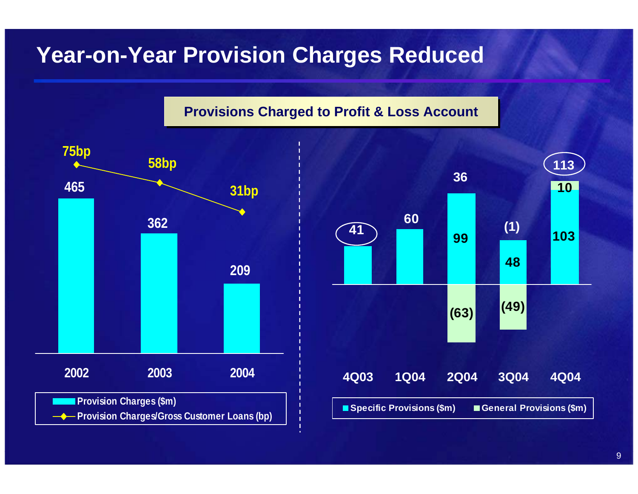### **Year-on-Year Provision Charges Reduced**



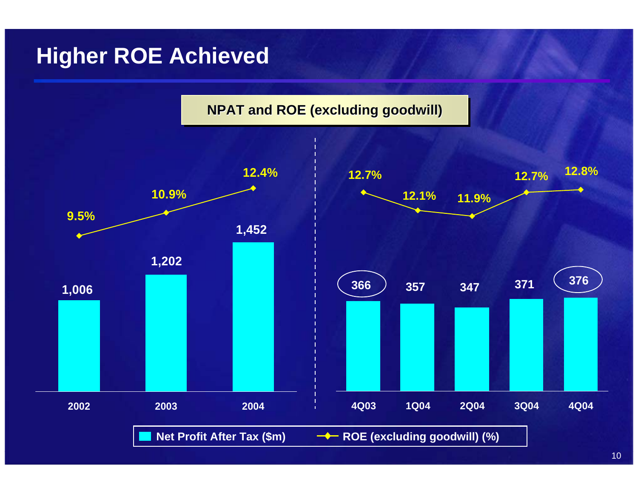### **Higher ROE Achieved**

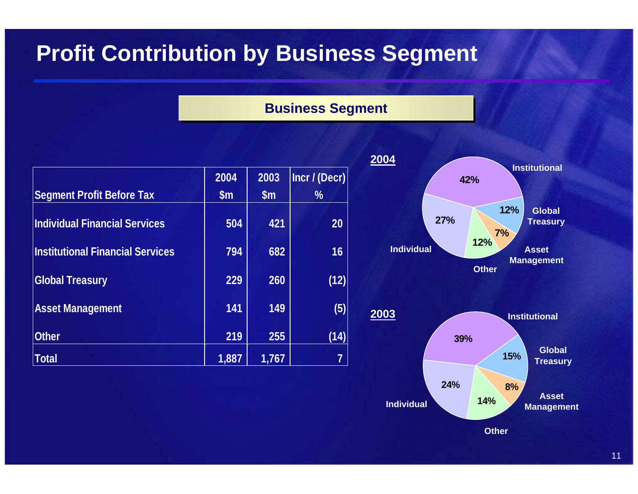## **Profit Contribution by Business Segment**

#### **BBusiness Segment usiness Segme n t**

|                                         | 2004          | 2003  | Incr / (Decr)  |  |
|-----------------------------------------|---------------|-------|----------------|--|
| <b>Segment Profit Before Tax</b>        | $\mathsf{Sm}$ | \$m\$ | $\frac{9}{6}$  |  |
| <b>Individual Financial Services</b>    | 504           | 421   | 20             |  |
| <b>Institutional Financial Services</b> | 794           | 682   | 16             |  |
| <b>Global Treasury</b>                  | 229           | 260   | (12)           |  |
| <b>Asset Management</b>                 | 141           | 149   | (5)            |  |
| <b>Other</b>                            | 219           | 255   | (14)           |  |
| <b>Total</b>                            | 1,887         | 1,767 | $\overline{7}$ |  |



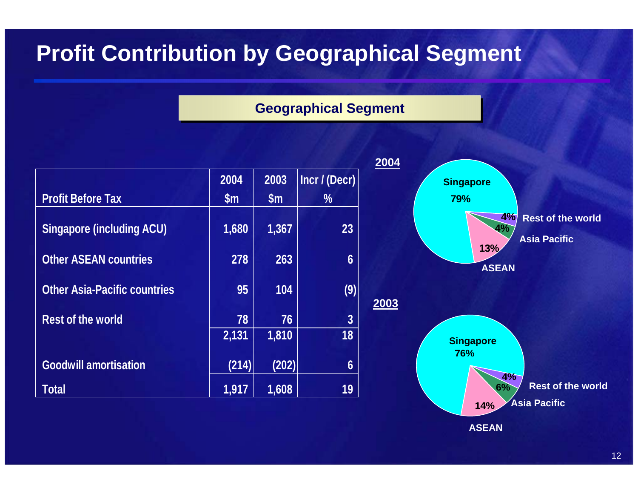# **Profit Contribution by Geographical Segment**

#### **Geogra Geographical Segment phical Segment**

**2004**

**2003**

|                                     | 2004          | 2003          | Incr / (Decr)    |
|-------------------------------------|---------------|---------------|------------------|
| <b>Profit Before Tax</b>            | $\mathsf{Sm}$ | $\mathsf{Sm}$ | $\frac{0}{0}$    |
| <b>Singapore (including ACU)</b>    | 1,680         | 1,367         | 23               |
| <b>Other ASEAN countries</b>        | 278           | 263           | 6                |
| <b>Other Asia-Pacific countries</b> | 95            | 104           | (9)              |
| <b>Rest of the world</b>            | 78            | 76            | $\boldsymbol{3}$ |
|                                     | 2,131         | 1,810         | 18               |
| <b>Goodwill amortisation</b>        | (214)         | (202)         | 6                |
| <b>Total</b>                        | 1,917         | 1,608         | 19               |



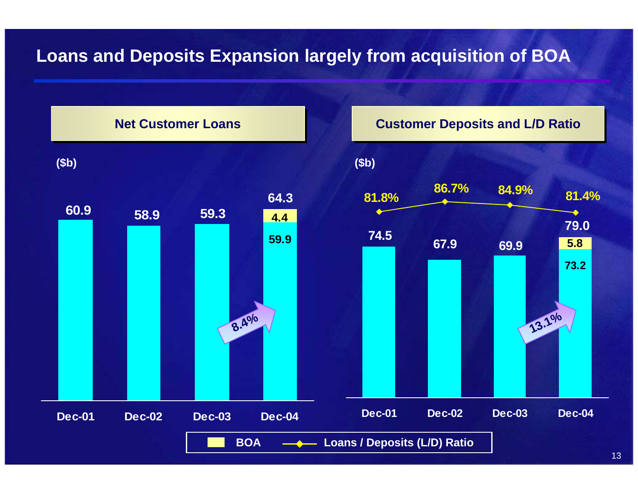### **Loans and Deposits Expansion largely from acquisition of BOA**

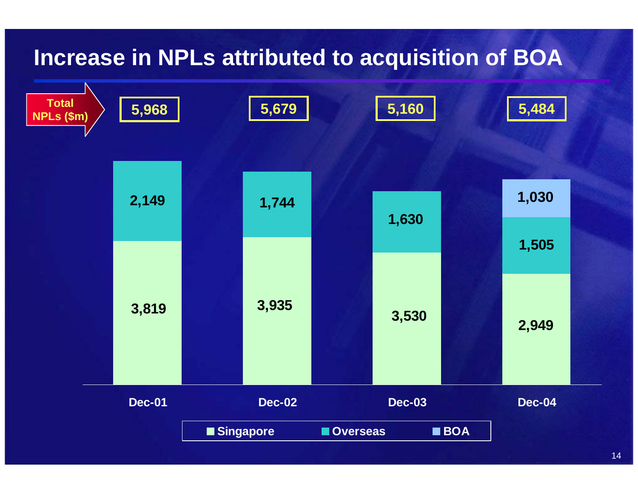### **Increase in NPLs attributed to acquisition of BOA**

| <b>Total</b><br>NPLs (\$m) | 5,968         |           | 5,679         |          | 5,160         |            | 5,484         |  |
|----------------------------|---------------|-----------|---------------|----------|---------------|------------|---------------|--|
|                            |               |           |               |          |               |            |               |  |
|                            | 2,149         |           | 1,744         |          | 1,630         |            | 1,030         |  |
|                            |               |           |               |          |               |            | 1,505         |  |
|                            | 3,819         |           | 3,935         |          | 3,530         |            | 2,949         |  |
|                            | <b>Dec-01</b> |           | <b>Dec-02</b> |          | <b>Dec-03</b> |            | <b>Dec-04</b> |  |
|                            |               | Singapore |               | Overseas |               | <b>BOA</b> |               |  |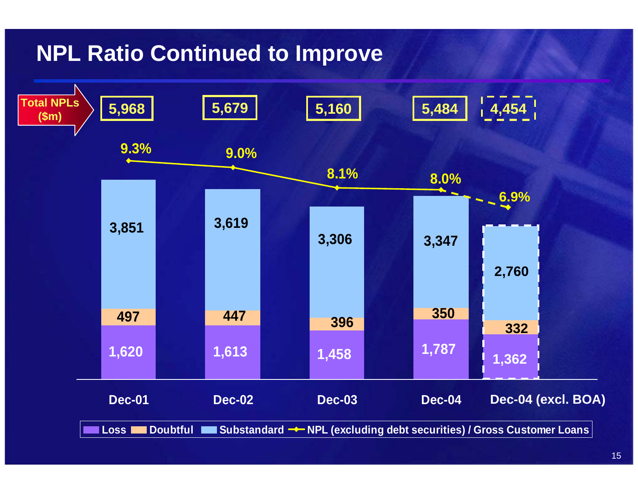# **NPL Ratio Continued to Improve**

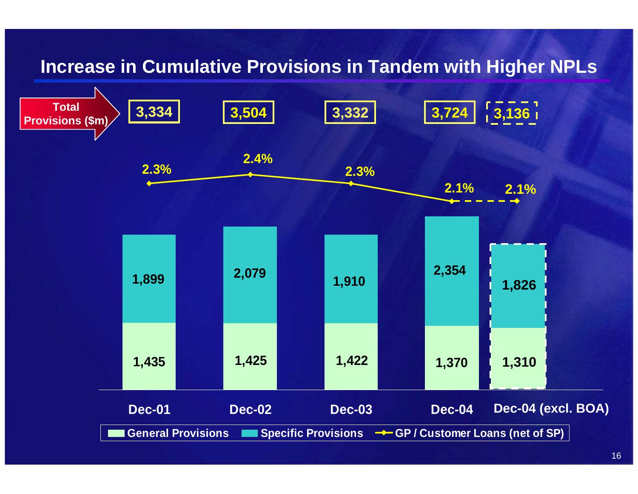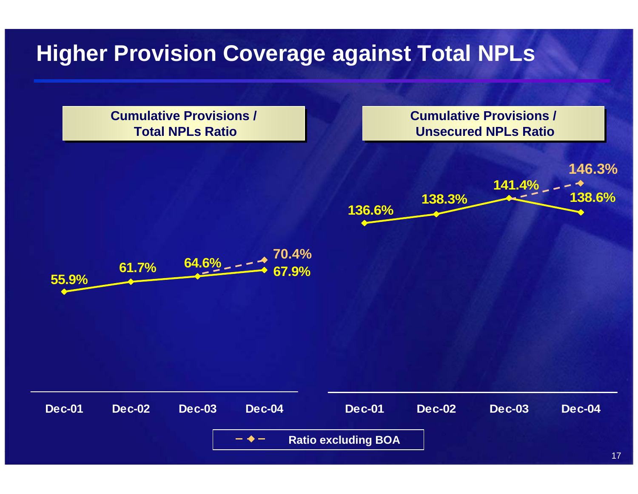# **Higher Provision Coverage against Total NPLs**

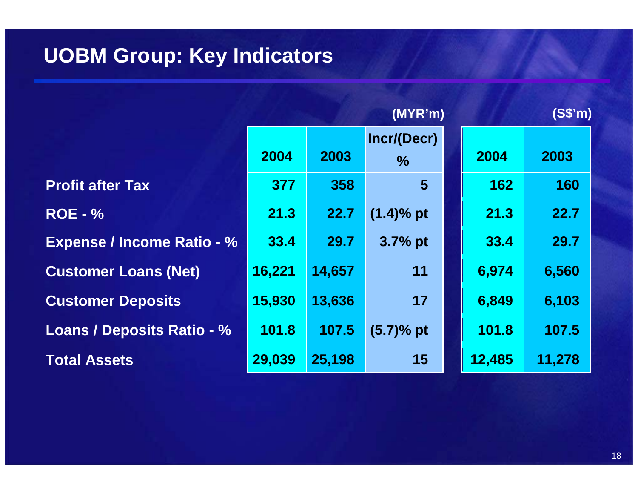### **UOBM Group: Key Indicators**

|                                   | (MYR'm) |        |                     |        | (S\$'m) |
|-----------------------------------|---------|--------|---------------------|--------|---------|
|                                   | 2004    | 2003   | Incr/(Decr)<br>$\%$ | 2004   | 2003    |
| <b>Profit after Tax</b>           | 377     | 358    | $5\phantom{1}$      | 162    | 160     |
| <b>ROE - %</b>                    | 21.3    | 22.7   | $(1.4)$ % pt        | 21.3   | 22.7    |
| <b>Expense / Income Ratio - %</b> | 33.4    | 29.7   | 3.7% pt             | 33.4   | 29.7    |
| <b>Customer Loans (Net)</b>       | 16,221  | 14,657 | 11                  | 6,974  | 6,560   |
| <b>Customer Deposits</b>          | 15,930  | 13,636 | 17                  | 6,849  | 6,103   |
| <b>Loans / Deposits Ratio - %</b> | 101.8   | 107.5  | $(5.7)%$ pt         | 101.8  | 107.5   |
| <b>Total Assets</b>               | 29,039  | 25,198 | 15                  | 12,485 | 11,278  |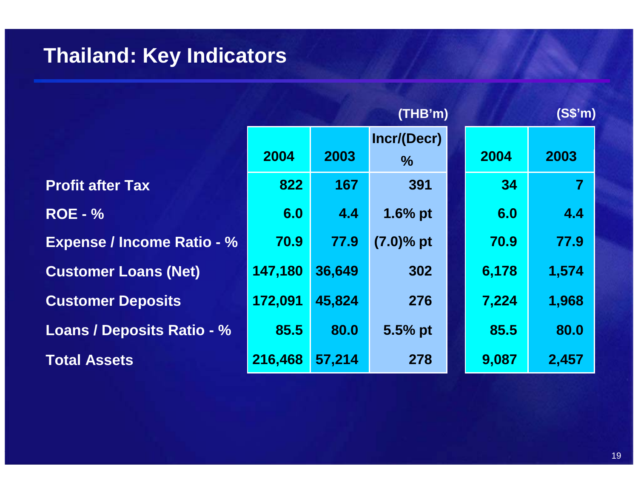# **Thailand: Key Indicators**

|                                   | (THB'm)<br>(S\$'m) |        |                     |  |       |                |
|-----------------------------------|--------------------|--------|---------------------|--|-------|----------------|
|                                   | 2004               | 2003   | Incr/(Decr)<br>$\%$ |  | 2004  | 2003           |
| <b>Profit after Tax</b>           | 822                | 167    | 391                 |  | 34    | $\overline{7}$ |
| <b>ROE - %</b>                    | 6.0                | 4.4    | 1.6% pt             |  | 6.0   | 4.4            |
| <b>Expense / Income Ratio - %</b> | 70.9               | 77.9   | $(7.0)$ % pt        |  | 70.9  | 77.9           |
| <b>Customer Loans (Net)</b>       | 147,180            | 36,649 | 302                 |  | 6,178 | 1,574          |
| <b>Customer Deposits</b>          | 172,091            | 45,824 | 276                 |  | 7,224 | 1,968          |
| <b>Loans / Deposits Ratio - %</b> | 85.5               | 80.0   | $5.5%$ pt           |  | 85.5  | 80.0           |
| <b>Total Assets</b>               | 216,468            | 57,214 | 278                 |  | 9,087 | 2,457          |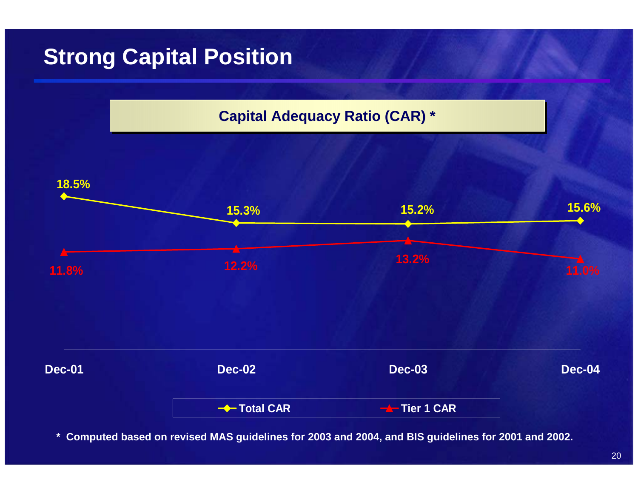# **Strong Capital Position**



**\* Computed based on revised MAS guidelines for 2003 and 2004, and BIS guidelines for 2001 and 2002.**